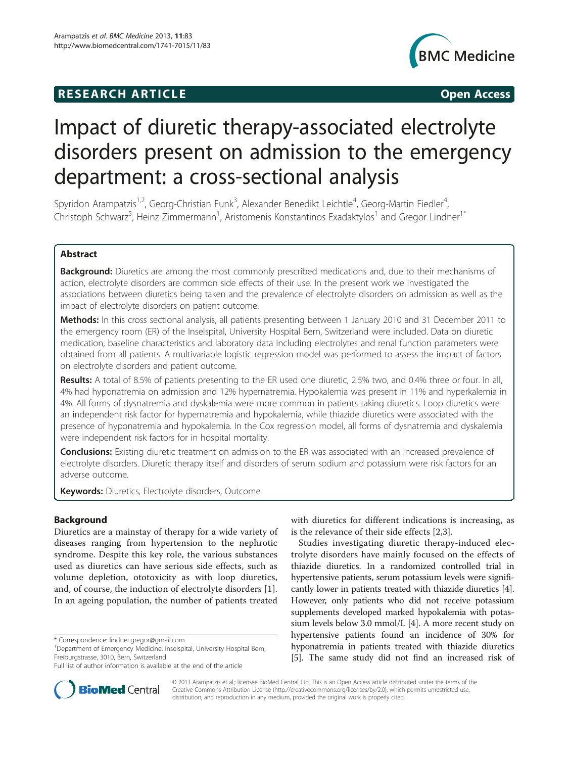# **RESEARCH ARTICLE Example 2018 12:00 Open Access**



# Impact of diuretic therapy-associated electrolyte disorders present on admission to the emergency department: a cross-sectional analysis

Spyridon Arampatzis<sup>1,2</sup>, Georg-Christian Funk<sup>3</sup>, Alexander Benedikt Leichtle<sup>4</sup>, Georg-Martin Fiedler<sup>4</sup> , Christoph Schwarz<sup>5</sup>, Heinz Zimmermann<sup>1</sup>, Aristomenis Konstantinos Exadaktylos<sup>1</sup> and Gregor Lindner<sup>1\*</sup>

# Abstract

Background: Diuretics are among the most commonly prescribed medications and, due to their mechanisms of action, electrolyte disorders are common side effects of their use. In the present work we investigated the associations between diuretics being taken and the prevalence of electrolyte disorders on admission as well as the impact of electrolyte disorders on patient outcome.

Methods: In this cross sectional analysis, all patients presenting between 1 January 2010 and 31 December 2011 to the emergency room (ER) of the Inselspital, University Hospital Bern, Switzerland were included. Data on diuretic medication, baseline characteristics and laboratory data including electrolytes and renal function parameters were obtained from all patients. A multivariable logistic regression model was performed to assess the impact of factors on electrolyte disorders and patient outcome.

Results: A total of 8.5% of patients presenting to the ER used one diuretic, 2.5% two, and 0.4% three or four. In all, 4% had hyponatremia on admission and 12% hypernatremia. Hypokalemia was present in 11% and hyperkalemia in 4%. All forms of dysnatremia and dyskalemia were more common in patients taking diuretics. Loop diuretics were an independent risk factor for hypernatremia and hypokalemia, while thiazide diuretics were associated with the presence of hyponatremia and hypokalemia. In the Cox regression model, all forms of dysnatremia and dyskalemia were independent risk factors for in hospital mortality.

**Conclusions:** Existing diuretic treatment on admission to the ER was associated with an increased prevalence of electrolyte disorders. Diuretic therapy itself and disorders of serum sodium and potassium were risk factors for an adverse outcome.

**Keywords:** Diuretics, Electrolyte disorders, Outcome

# Background

Diuretics are a mainstay of therapy for a wide variety of diseases ranging from hypertension to the nephrotic syndrome. Despite this key role, the various substances used as diuretics can have serious side effects, such as volume depletion, ototoxicity as with loop diuretics, and, of course, the induction of electrolyte disorders [[1](#page-4-0)]. In an ageing population, the number of patients treated



Studies investigating diuretic therapy-induced electrolyte disorders have mainly focused on the effects of thiazide diuretics. In a randomized controlled trial in hypertensive patients, serum potassium levels were significantly lower in patients treated with thiazide diuretics [[4](#page-4-0)]. However, only patients who did not receive potassium supplements developed marked hypokalemia with potassium levels below 3.0 mmol/L [\[4](#page-4-0)]. A more recent study on hypertensive patients found an incidence of 30% for hyponatremia in patients treated with thiazide diuretics [[5\]](#page-4-0). The same study did not find an increased risk of



© 2013 Arampatzis et al.; licensee BioMed Central Ltd. This is an Open Access article distributed under the terms of the Creative Commons Attribution License (<http://creativecommons.org/licenses/by/2.0>), which permits unrestricted use, distribution, and reproduction in any medium, provided the original work is properly cited.

<sup>\*</sup> Correspondence: [lindner.gregor@gmail.com](mailto:lindner.gregor@gmail.com) <sup>1</sup>

<sup>&</sup>lt;sup>1</sup>Department of Emergency Medicine, Inselspital, University Hospital Bern, Freiburgstrasse, 3010, Bern, Switzerland

Full list of author information is available at the end of the article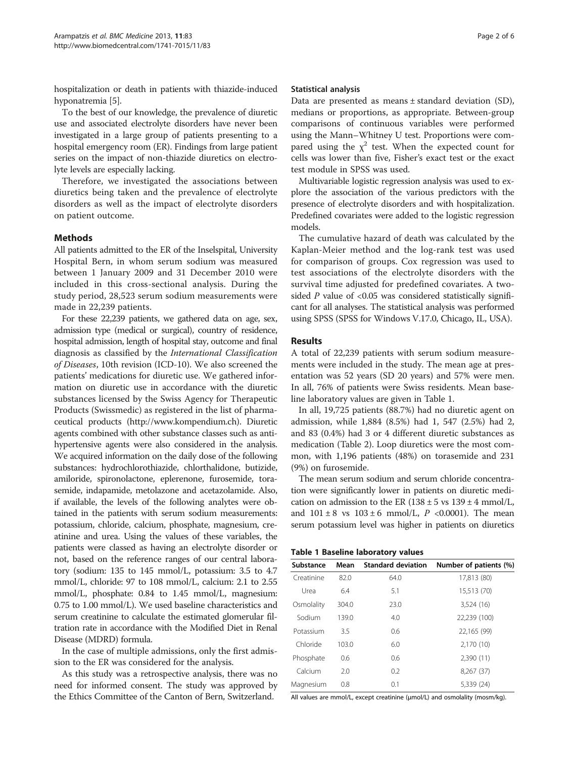hospitalization or death in patients with thiazide-induced hyponatremia [\[5](#page-4-0)].

To the best of our knowledge, the prevalence of diuretic use and associated electrolyte disorders have never been investigated in a large group of patients presenting to a hospital emergency room (ER). Findings from large patient series on the impact of non-thiazide diuretics on electrolyte levels are especially lacking.

Therefore, we investigated the associations between diuretics being taken and the prevalence of electrolyte disorders as well as the impact of electrolyte disorders on patient outcome.

# Methods

All patients admitted to the ER of the Inselspital, University Hospital Bern, in whom serum sodium was measured between 1 January 2009 and 31 December 2010 were included in this cross-sectional analysis. During the study period, 28,523 serum sodium measurements were made in 22,239 patients.

For these 22,239 patients, we gathered data on age, sex, admission type (medical or surgical), country of residence, hospital admission, length of hospital stay, outcome and final diagnosis as classified by the International Classification of Diseases, 10th revision (ICD-10). We also screened the patients' medications for diuretic use. We gathered information on diuretic use in accordance with the diuretic substances licensed by the Swiss Agency for Therapeutic Products (Swissmedic) as registered in the list of pharmaceutical products ([http://www.kompendium.ch\)](http://www.kompendium.ch). Diuretic agents combined with other substance classes such as antihypertensive agents were also considered in the analysis. We acquired information on the daily dose of the following substances: hydrochlorothiazide, chlorthalidone, butizide, amiloride, spironolactone, eplerenone, furosemide, torasemide, indapamide, metolazone and acetazolamide. Also, if available, the levels of the following analytes were obtained in the patients with serum sodium measurements: potassium, chloride, calcium, phosphate, magnesium, creatinine and urea. Using the values of these variables, the patients were classed as having an electrolyte disorder or not, based on the reference ranges of our central laboratory (sodium: 135 to 145 mmol/L, potassium: 3.5 to 4.7 mmol/L, chloride: 97 to 108 mmol/L, calcium: 2.1 to 2.55 mmol/L, phosphate: 0.84 to 1.45 mmol/L, magnesium: 0.75 to 1.00 mmol/L). We used baseline characteristics and serum creatinine to calculate the estimated glomerular filtration rate in accordance with the Modified Diet in Renal Disease (MDRD) formula.

In the case of multiple admissions, only the first admission to the ER was considered for the analysis.

As this study was a retrospective analysis, there was no need for informed consent. The study was approved by the Ethics Committee of the Canton of Bern, Switzerland.

## Statistical analysis

Data are presented as means ± standard deviation (SD), medians or proportions, as appropriate. Between-group comparisons of continuous variables were performed using the Mann–Whitney U test. Proportions were compared using the  $\chi^2$  test. When the expected count for cells was lower than five, Fisher's exact test or the exact test module in SPSS was used.

Multivariable logistic regression analysis was used to explore the association of the various predictors with the presence of electrolyte disorders and with hospitalization. Predefined covariates were added to the logistic regression models.

The cumulative hazard of death was calculated by the Kaplan-Meier method and the log-rank test was used for comparison of groups. Cox regression was used to test associations of the electrolyte disorders with the survival time adjusted for predefined covariates. A twosided  $P$  value of <0.05 was considered statistically significant for all analyses. The statistical analysis was performed using SPSS (SPSS for Windows V.17.0, Chicago, IL, USA).

## Results

A total of 22,239 patients with serum sodium measurements were included in the study. The mean age at presentation was 52 years (SD 20 years) and 57% were men. In all, 76% of patients were Swiss residents. Mean baseline laboratory values are given in Table 1.

In all, 19,725 patients (88.7%) had no diuretic agent on admission, while 1,884 (8.5%) had 1, 547 (2.5%) had 2, and 83 (0.4%) had 3 or 4 different diuretic substances as medication (Table [2](#page-2-0)). Loop diuretics were the most common, with 1,196 patients (48%) on torasemide and 231 (9%) on furosemide.

The mean serum sodium and serum chloride concentration were significantly lower in patients on diuretic medication on admission to the ER  $(138 \pm 5 \text{ vs } 139 \pm 4 \text{ mmol/L})$ , and  $101 \pm 8$  vs  $103 \pm 6$  mmol/L, P <0.0001). The mean serum potassium level was higher in patients on diuretics

| Substance  | Mean  | <b>Standard deviation</b> | Number of patients (%) |
|------------|-------|---------------------------|------------------------|
| Creatinine | 82.0  | 64.0                      | 17,813 (80)            |
| Urea       | 6.4   | 5.1                       | 15,513 (70)            |
| Osmolality | 304.0 | 23.0                      | 3,524 (16)             |
| Sodium     | 139.0 | 4.0                       | 22,239 (100)           |
| Potassium  | 3.5   | 0.6                       | 22,165 (99)            |
| Chloride   | 103.0 | 6.0                       | 2,170 (10)             |
| Phosphate  | 0.6   | 0.6                       | 2,390(11)              |
| Calcium    | 2.0   | 0.2                       | 8,267 (37)             |
| Magnesium  | 0.8   | 0.1                       | 5,339 (24)             |

All values are mmol/L, except creatinine (μmol/L) and osmolality (mosm/kg).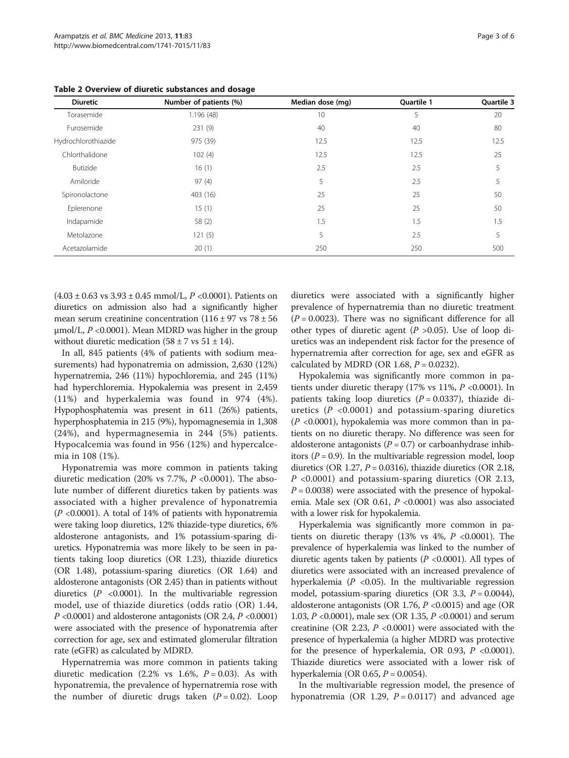| <b>Diuretic</b>     | Number of patients (%) | Median dose (mg) | Quartile 1<br>5 | Quartile 3<br>20 |
|---------------------|------------------------|------------------|-----------------|------------------|
| Torasemide          | 1.196(48)              | 10               |                 |                  |
| Furosemide          | 231(9)                 | 40               | 40              | 80               |
| Hydrochlorothiazide | 975 (39)               | 12.5             | 12.5            | 12.5             |
| Chlorthalidone      | 102(4)                 | 12.5             | 12.5            | 25               |
| Butizide            | 16(1)                  | 2.5              | 2.5             | 5                |
| Amiloride           | 97(4)                  | 5                | 2.5             | 5                |
| Spironolactone      | 403 (16)               | 25               | 25              | 50               |
| Eplerenone          | 15(1)                  | 25               | 25              | 50               |
| Indapamide          | 58 (2)                 | 1.5              | 1.5             | 1.5              |
| Metolazone          | 121(5)                 | 5                | 2.5             | 5                |
| Acetazolamide       | 20(1)                  | 250              | 250             | 500              |

<span id="page-2-0"></span>Table 2 Overview of diuretic substances and dosage

 $(4.03 \pm 0.63 \text{ vs } 3.93 \pm 0.45 \text{ mmol/L}, P < 0.0001)$ . Patients on diuretics on admission also had a significantly higher mean serum creatinine concentration  $(116 \pm 97 \text{ vs } 78 \pm 56$  $\mu$ mol/L, P <0.0001). Mean MDRD was higher in the group without diuretic medication  $(58 \pm 7 \text{ vs } 51 \pm 14)$ .

In all, 845 patients (4% of patients with sodium measurements) had hyponatremia on admission, 2,630 (12%) hypernatremia, 246 (11%) hypochloremia, and 245 (11%) had hyperchloremia. Hypokalemia was present in 2,459 (11%) and hyperkalemia was found in 974 (4%). Hypophosphatemia was present in 611 (26%) patients, hyperphosphatemia in 215 (9%), hypomagnesemia in 1,308 (24%), and hypermagnesemia in 244 (5%) patients. Hypocalcemia was found in 956 (12%) and hypercalcemia in 108 (1%).

Hyponatremia was more common in patients taking diuretic medication (20% vs 7.7%,  $P$  <0.0001). The absolute number of different diuretics taken by patients was associated with a higher prevalence of hyponatremia  $(P \le 0.0001)$ . A total of 14% of patients with hyponatremia were taking loop diuretics, 12% thiazide-type diuretics, 6% aldosterone antagonists, and 1% potassium-sparing diuretics. Hyponatremia was more likely to be seen in patients taking loop diuretics (OR 1.23), thiazide diuretics (OR 1.48), potassium-sparing diuretics (OR 1.64) and aldosterone antagonists (OR 2.45) than in patients without diuretics  $(P \le 0.0001)$ . In the multivariable regression model, use of thiazide diuretics (odds ratio (OR) 1.44, P <0.0001) and aldosterone antagonists (OR 2.4, P <0.0001) were associated with the presence of hyponatremia after correction for age, sex and estimated glomerular filtration rate (eGFR) as calculated by MDRD.

Hypernatremia was more common in patients taking diuretic medication (2.2% vs 1.6%,  $P = 0.03$ ). As with hyponatremia, the prevalence of hypernatremia rose with the number of diuretic drugs taken  $(P = 0.02)$ . Loop diuretics were associated with a significantly higher prevalence of hypernatremia than no diuretic treatment  $(P = 0.0023)$ . There was no significant difference for all other types of diuretic agent ( $P > 0.05$ ). Use of loop diuretics was an independent risk factor for the presence of hypernatremia after correction for age, sex and eGFR as calculated by MDRD (OR 1.68,  $P = 0.0232$ ).

Hypokalemia was significantly more common in patients under diuretic therapy (17% vs 11%,  $P$  <0.0001). In patients taking loop diuretics  $(P = 0.0337)$ , thiazide diuretics  $(P \le 0.0001)$  and potassium-sparing diuretics  $(P \le 0.0001)$ , hypokalemia was more common than in patients on no diuretic therapy. No difference was seen for aldosterone antagonists ( $P = 0.7$ ) or carboanhydrase inhibitors ( $P = 0.9$ ). In the multivariable regression model, loop diuretics (OR 1.27,  $P = 0.0316$ ), thiazide diuretics (OR 2.18,  $P \leq 0.0001$ ) and potassium-sparing diuretics (OR 2.13,  $P = 0.0038$ ) were associated with the presence of hypokalemia. Male sex (OR 0.61, P <0.0001) was also associated with a lower risk for hypokalemia.

Hyperkalemia was significantly more common in patients on diuretic therapy (13% vs  $4\%$ ,  $P$  <0.0001). The prevalence of hyperkalemia was linked to the number of diuretic agents taken by patients ( $P$  <0.0001). All types of diuretics were associated with an increased prevalence of hyperkalemia ( $P < 0.05$ ). In the multivariable regression model, potassium-sparing diuretics (OR 3.3,  $P = 0.0044$ ), aldosterone antagonists (OR 1.76,  $P \le 0.0015$ ) and age (OR 1.03, P <0.0001), male sex (OR 1.35, P <0.0001) and serum creatinine (OR 2.23,  $P$  <0.0001) were associated with the presence of hyperkalemia (a higher MDRD was protective for the presence of hyperkalemia, OR 0.93,  $P < 0.0001$ ). Thiazide diuretics were associated with a lower risk of hyperkalemia (OR 0.65,  $P = 0.0054$ ).

In the multivariable regression model, the presence of hyponatremia (OR 1.29,  $P = 0.0117$ ) and advanced age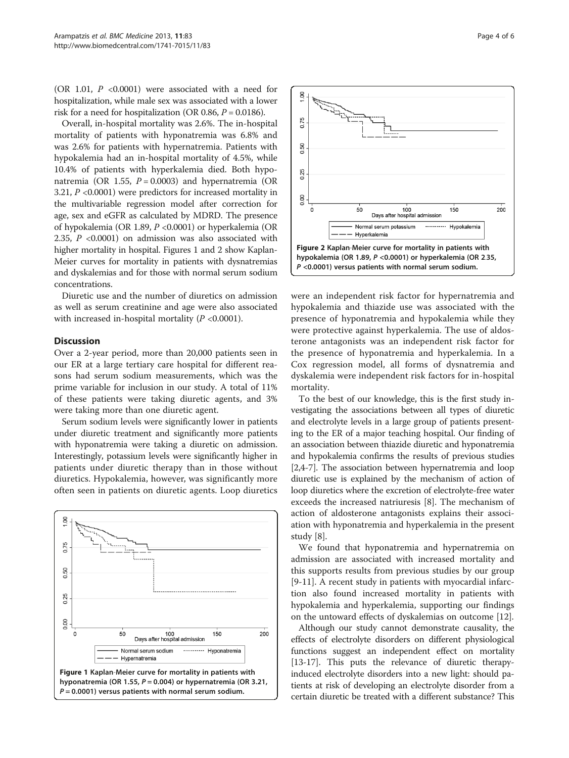(OR 1.01,  $P \le 0.0001$ ) were associated with a need for hospitalization, while male sex was associated with a lower risk for a need for hospitalization (OR 0.86,  $P = 0.0186$ ).

Overall, in-hospital mortality was 2.6%. The in-hospital mortality of patients with hyponatremia was 6.8% and was 2.6% for patients with hypernatremia. Patients with hypokalemia had an in-hospital mortality of 4.5%, while 10.4% of patients with hyperkalemia died. Both hyponatremia (OR 1.55,  $P = 0.0003$ ) and hypernatremia (OR 3.21, P <0.0001) were predictors for increased mortality in the multivariable regression model after correction for age, sex and eGFR as calculated by MDRD. The presence of hypokalemia (OR 1.89, P <0.0001) or hyperkalemia (OR 2.35, P <0.0001) on admission was also associated with higher mortality in hospital. Figures 1 and 2 show Kaplan-Meier curves for mortality in patients with dysnatremias and dyskalemias and for those with normal serum sodium concentrations.

Diuretic use and the number of diuretics on admission as well as serum creatinine and age were also associated with increased in-hospital mortality  $(P < 0.0001)$ .

#### **Discussion**

Over a 2-year period, more than 20,000 patients seen in our ER at a large tertiary care hospital for different reasons had serum sodium measurements, which was the prime variable for inclusion in our study. A total of 11% of these patients were taking diuretic agents, and 3% were taking more than one diuretic agent.

Serum sodium levels were significantly lower in patients under diuretic treatment and significantly more patients with hyponatremia were taking a diuretic on admission. Interestingly, potassium levels were significantly higher in patients under diuretic therapy than in those without diuretics. Hypokalemia, however, was significantly more often seen in patients on diuretic agents. Loop diuretics





were an independent risk factor for hypernatremia and hypokalemia and thiazide use was associated with the presence of hyponatremia and hypokalemia while they were protective against hyperkalemia. The use of aldosterone antagonists was an independent risk factor for the presence of hyponatremia and hyperkalemia. In a Cox regression model, all forms of dysnatremia and dyskalemia were independent risk factors for in-hospital mortality.

To the best of our knowledge, this is the first study investigating the associations between all types of diuretic and electrolyte levels in a large group of patients presenting to the ER of a major teaching hospital. Our finding of an association between thiazide diuretic and hyponatremia and hypokalemia confirms the results of previous studies [[2,4-7\]](#page-4-0). The association between hypernatremia and loop diuretic use is explained by the mechanism of action of loop diuretics where the excretion of electrolyte-free water exceeds the increased natriuresis [\[8\]](#page-4-0). The mechanism of action of aldosterone antagonists explains their association with hyponatremia and hyperkalemia in the present study [\[8](#page-4-0)].

We found that hyponatremia and hypernatremia on admission are associated with increased mortality and this supports results from previous studies by our group [[9-11](#page-4-0)]. A recent study in patients with myocardial infarction also found increased mortality in patients with hypokalemia and hyperkalemia, supporting our findings on the untoward effects of dyskalemias on outcome [[12\]](#page-4-0).

Although our study cannot demonstrate causality, the effects of electrolyte disorders on different physiological functions suggest an independent effect on mortality [[13](#page-4-0)-[17\]](#page-5-0). This puts the relevance of diuretic therapyinduced electrolyte disorders into a new light: should patients at risk of developing an electrolyte disorder from a certain diuretic be treated with a different substance? This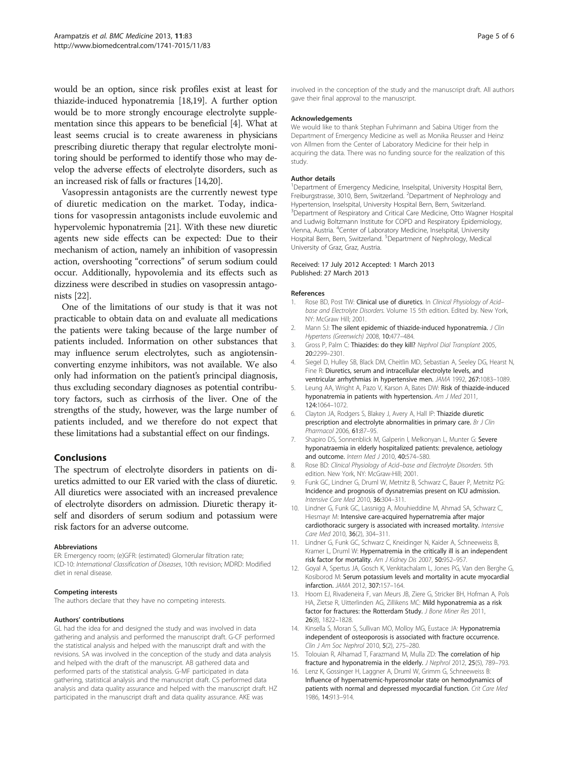<span id="page-4-0"></span>would be an option, since risk profiles exist at least for thiazide-induced hyponatremia [\[18,19](#page-5-0)]. A further option would be to more strongly encourage electrolyte supplementation since this appears to be beneficial [4]. What at least seems crucial is to create awareness in physicians prescribing diuretic therapy that regular electrolyte monitoring should be performed to identify those who may develop the adverse effects of electrolyte disorders, such as an increased risk of falls or fractures [14[,20](#page-5-0)].

Vasopressin antagonists are the currently newest type of diuretic medication on the market. Today, indications for vasopressin antagonists include euvolemic and hypervolemic hyponatremia [\[21\]](#page-5-0). With these new diuretic agents new side effects can be expected: Due to their mechanism of action, namely an inhibition of vasopressin action, overshooting "corrections" of serum sodium could occur. Additionally, hypovolemia and its effects such as dizziness were described in studies on vasopressin antagonists [[22](#page-5-0)].

One of the limitations of our study is that it was not practicable to obtain data on and evaluate all medications the patients were taking because of the large number of patients included. Information on other substances that may influence serum electrolytes, such as angiotensinconverting enzyme inhibitors, was not available. We also only had information on the patient's principal diagnosis, thus excluding secondary diagnoses as potential contributory factors, such as cirrhosis of the liver. One of the strengths of the study, however, was the large number of patients included, and we therefore do not expect that these limitations had a substantial effect on our findings.

# Conclusions

The spectrum of electrolyte disorders in patients on diuretics admitted to our ER varied with the class of diuretic. All diuretics were associated with an increased prevalence of electrolyte disorders on admission. Diuretic therapy itself and disorders of serum sodium and potassium were risk factors for an adverse outcome.

#### Abbreviations

ER: Emergency room; (e)GFR: (estimated) Glomerular filtration rate; ICD-10: International Classification of Diseases, 10th revision; MDRD: Modified diet in renal disease.

#### Competing interests

The authors declare that they have no competing interests.

#### Authors' contributions

GL had the idea for and designed the study and was involved in data gathering and analysis and performed the manuscript draft. G-CF performed the statistical analysis and helped with the manuscript draft and with the revisions. SA was involved in the conception of the study and data analysis and helped with the draft of the manuscript. AB gathered data and performed parts of the statistical analysis. G-MF participated in data gathering, statistical analysis and the manuscript draft. CS performed data analysis and data quality assurance and helped with the manuscript draft. HZ participated in the manuscript draft and data quality assurance. AKE was

involved in the conception of the study and the manuscript draft. All authors gave their final approval to the manuscript.

#### Acknowledgements

We would like to thank Stephan Fuhrimann and Sabina Utiger from the Department of Emergency Medicine as well as Monika Reusser and Heinz von Allmen from the Center of Laboratory Medicine for their help in acquiring the data. There was no funding source for the realization of this study.

#### Author details

<sup>1</sup>Department of Emergency Medicine, Inselspital, University Hospital Bern Freiburgstrasse, 3010, Bern, Switzerland. <sup>2</sup>Department of Nephrology and Hypertension, Inselspital, University Hospital Bern, Bern, Switzerland. <sup>3</sup> Department of Respiratory and Critical Care Medicine, Otto Wagner Hospital and Ludwig Boltzmann Institute for COPD and Respiratory Epidemiology, Vienna, Austria. <sup>4</sup>Center of Laboratory Medicine, Inselspital, University Hospital Bern, Bern, Switzerland. <sup>5</sup>Department of Nephrology, Medical University of Graz, Graz, Austria.

#### Received: 17 July 2012 Accepted: 1 March 2013 Published: 27 March 2013

#### References

- Rose BD, Post TW: Clinical use of diuretics. In Clinical Physiology of Acidbase and Electrolyte Disorders. Volume 15 5th edition. Edited by. New York, NY: McGraw Hill; 2001.
- Mann SJ: The silent epidemic of thiazide-induced hyponatremia. J Clin Hypertens (Greenwich) 2008, 10:477–484.
- 3. Gross P, Palm C: Thiazides: do they kill? Nephrol Dial Transplant 2005, 20:2299–2301.
- 4. Siegel D, Hulley SB, Black DM, Cheitlin MD, Sebastian A, Seeley DG, Hearst N, Fine R: Diuretics, serum and intracellular electrolyte levels, and ventricular arrhythmias in hypertensive men. JAMA 1992, 267:1083–1089.
- 5. Leung AA, Wright A, Pazo V, Karson A, Bates DW: Risk of thiazide-induced hyponatremia in patients with hypertension. Am J Med 2011, 124:1064–1072.
- 6. Clayton JA, Rodgers S, Blakey J, Avery A, Hall IP: Thiazide diuretic prescription and electrolyte abnormalities in primary care. Br J Clin Pharmacol 2006, 61:87–95.
- 7. Shapiro DS, Sonnenblick M, Galperin I, Melkonyan L, Munter G: Severe hyponatraemia in elderly hospitalized patients: prevalence, aetiology and outcome. Intern Med J 2010, 40:574-580.
- 8. Rose BD: Clinical Physiology of Acid–base and Electrolyte Disorders. 5th edition. New York, NY: McGraw-Hill; 2001.
- 9. Funk GC, Lindner G, Druml W, Metnitz B, Schwarz C, Bauer P, Metnitz PG: Incidence and prognosis of dysnatremias present on ICU admission. Intensive Care Med 2010, 36:304–311.
- 10. Lindner G, Funk GC, Lassnigg A, Mouhieddine M, Ahmad SA, Schwarz C, Hiesmayr M: Intensive care-acquired hypernatremia after major cardiothoracic surgery is associated with increased mortality. Intensive Care Med 2010, 36(2), 304-311
- 11. Lindner G, Funk GC, Schwarz C, Kneidinger N, Kaider A, Schneeweiss B, Kramer L, Druml W: Hypernatremia in the critically ill is an independent risk factor for mortality. Am J Kidney Dis 2007, 50:952–957.
- 12. Goyal A, Spertus JA, Gosch K, Venkitachalam L, Jones PG, Van den Berghe G, Kosiborod M: Serum potassium levels and mortality in acute myocardial infarction. JAMA 2012, 307:157–164.
- 13. Hoorn EJ, Rivadeneira F, van Meurs JB, Ziere G, Stricker BH, Hofman A, Pols HA, Zietse R, Uitterlinden AG, Zillikens MC: Mild hyponatremia as a risk factor for fractures: the Rotterdam Study. J Bone Miner Res 2011, 26(8), 1822–1828.
- 14. Kinsella S, Moran S, Sullivan MO, Molloy MG, Eustace JA: Hyponatremia independent of osteoporosis is associated with fracture occurrence. Clin J Am Soc Nephrol 2010, 5(2), 275–280.
- 15. Tolouian R, Alhamad T, Farazmand M, Mulla ZD: The correlation of hip fracture and hyponatremia in the elderly. J Nephrol 2012, 25(5), 789–793.
- 16. Lenz K, Gossinger H, Laggner A, Druml W, Grimm G, Schneeweiss B: Influence of hypernatremic-hyperosmolar state on hemodynamics of patients with normal and depressed myocardial function. Crit Care Med 1986, 14:913–914.